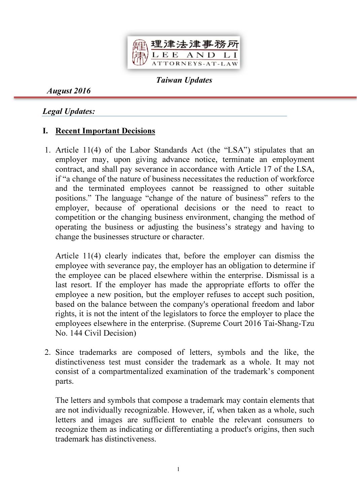

Taiwan Updates

August 2016

## Legal Updates:

# I. Recent Important Decisions

1. Article 11(4) of the Labor Standards Act (the "LSA") stipulates that an employer may, upon giving advance notice, terminate an employment contract, and shall pay severance in accordance with Article 17 of the LSA, if "a change of the nature of business necessitates the reduction of workforce and the terminated employees cannot be reassigned to other suitable positions." The language "change of the nature of business" refers to the employer, because of operational decisions or the need to react to competition or the changing business environment, changing the method of operating the business or adjusting the business's strategy and having to change the businesses structure or character.

Article 11(4) clearly indicates that, before the employer can dismiss the employee with severance pay, the employer has an obligation to determine if the employee can be placed elsewhere within the enterprise. Dismissal is a last resort. If the employer has made the appropriate efforts to offer the employee a new position, but the employer refuses to accept such position, based on the balance between the company's operational freedom and labor rights, it is not the intent of the legislators to force the employer to place the employees elsewhere in the enterprise. (Supreme Court 2016 Tai-Shang-Tzu No. 144 Civil Decision)

2. Since trademarks are composed of letters, symbols and the like, the distinctiveness test must consider the trademark as a whole. It may not consist of a compartmentalized examination of the trademark's component parts.

The letters and symbols that compose a trademark may contain elements that are not individually recognizable. However, if, when taken as a whole, such letters and images are sufficient to enable the relevant consumers to recognize them as indicating or differentiating a product's origins, then such trademark has distinctiveness.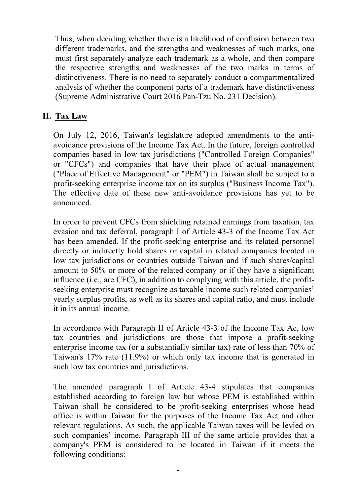Thus, when deciding whether there is a likelihood of confusion between two different trademarks, and the strengths and weaknesses of such marks, one must first separately analyze each trademark as a whole, and then compare the respective strengths and weaknesses of the two marks in terms of distinctiveness. There is no need to separately conduct a compartmentalized analysis of whether the component parts of a trademark have distinctiveness (Supreme Administrative Court 2016 Pan-Tzu No. 231 Decision).

### II. Tax Law

On July 12, 2016, Taiwan's legislature adopted amendments to the antiavoidance provisions of the Income Tax Act. In the future, foreign controlled companies based in low tax jurisdictions ("Controlled Foreign Companies" or "CFCs") and companies that have their place of actual management ("Place of Effective Management" or "PEM") in Taiwan shall be subject to a profit-seeking enterprise income tax on its surplus ("Business Income Tax"). The effective date of these new anti-avoidance provisions has yet to be announced.

In order to prevent CFCs from shielding retained earnings from taxation, tax evasion and tax deferral, paragraph I of Article 43-3 of the Income Tax Act has been amended. If the profit-seeking enterprise and its related personnel directly or indirectly hold shares or capital in related companies located in low tax jurisdictions or countries outside Taiwan and if such shares/capital amount to 50% or more of the related company or if they have a significant influence (i.e., are CFC), in addition to complying with this article, the profitseeking enterprise must recognize as taxable income such related companies' yearly surplus profits, as well as its shares and capital ratio, and must include it in its annual income.

In accordance with Paragraph II of Article 43-3 of the Income Tax Ac, low tax countries and jurisdictions are those that impose a profit-seeking enterprise income tax (or a substantially similar tax) rate of less than 70% of Taiwan's 17% rate (11.9%) or which only tax income that is generated in such low tax countries and jurisdictions.

The amended paragraph I of Article 43-4 stipulates that companies established according to foreign law but whose PEM is established within Taiwan shall be considered to be profit-seeking enterprises whose head office is within Taiwan for the purposes of the Income Tax Act and other relevant regulations. As such, the applicable Taiwan taxes will be levied on such companies' income. Paragraph III of the same article provides that a company's PEM is considered to be located in Taiwan if it meets the following conditions: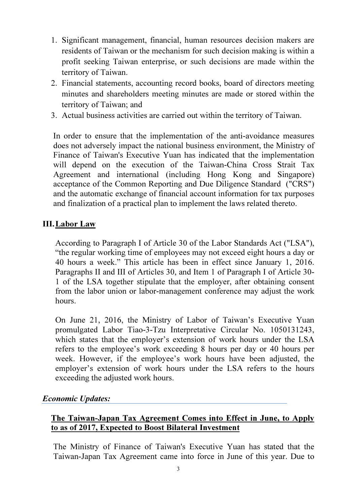- 1. Significant management, financial, human resources decision makers are residents of Taiwan or the mechanism for such decision making is within a profit seeking Taiwan enterprise, or such decisions are made within the territory of Taiwan.
- 2. Financial statements, accounting record books, board of directors meeting minutes and shareholders meeting minutes are made or stored within the territory of Taiwan; and
- 3. Actual business activities are carried out within the territory of Taiwan.

In order to ensure that the implementation of the anti-avoidance measures does not adversely impact the national business environment, the Ministry of Finance of Taiwan's Executive Yuan has indicated that the implementation will depend on the execution of the Taiwan-China Cross Strait Tax Agreement and international (including Hong Kong and Singapore) acceptance of the Common Reporting and Due Diligence Standard ("CRS") and the automatic exchange of financial account information for tax purposes and finalization of a practical plan to implement the laws related thereto.

### III.Labor Law

According to Paragraph I of Article 30 of the Labor Standards Act ("LSA"), "the regular working time of employees may not exceed eight hours a day or 40 hours a week." This article has been in effect since January 1, 2016. Paragraphs II and III of Articles 30, and Item 1 of Paragraph I of Article 30- 1 of the LSA together stipulate that the employer, after obtaining consent from the labor union or labor-management conference may adjust the work hours.

On June 21, 2016, the Ministry of Labor of Taiwan's Executive Yuan promulgated Labor Tiao-3-Tzu Interpretative Circular No. 1050131243, which states that the employer's extension of work hours under the LSA refers to the employee's work exceeding 8 hours per day or 40 hours per week. However, if the employee's work hours have been adjusted, the employer's extension of work hours under the LSA refers to the hours exceeding the adjusted work hours.

#### Economic Updates:

#### The Taiwan-Japan Tax Agreement Comes into Effect in June, to Apply to as of 2017, Expected to Boost Bilateral Investment

The Ministry of Finance of Taiwan's Executive Yuan has stated that the Taiwan-Japan Tax Agreement came into force in June of this year. Due to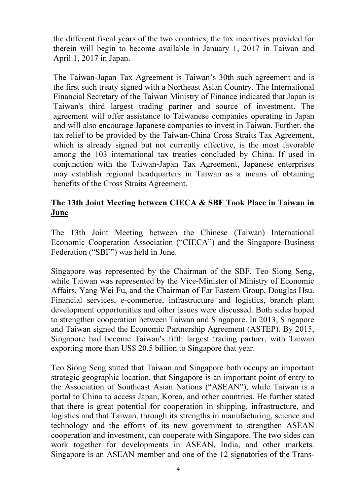the different fiscal years of the two countries, the tax incentives provided for therein will begin to become available in January 1, 2017 in Taiwan and April 1, 2017 in Japan.

The Taiwan-Japan Tax Agreement is Taiwan's 30th such agreement and is the first such treaty signed with a Northeast Asian Country. The International Financial Secretary of the Taiwan Ministry of Finance indicated that Japan is Taiwan's third largest trading partner and source of investment. The agreement will offer assistance to Taiwanese companies operating in Japan and will also encourage Japanese companies to invest in Taiwan. Further, the tax relief to be provided by the Taiwan-China Cross Straits Tax Agreement, which is already signed but not currently effective, is the most favorable among the 103 international tax treaties concluded by China. If used in conjunction with the Taiwan-Japan Tax Agreement, Japanese enterprises may establish regional headquarters in Taiwan as a means of obtaining benefits of the Cross Straits Agreement.

## The 13th Joint Meeting between CIECA & SBF Took Place in Taiwan in June

The 13th Joint Meeting between the Chinese (Taiwan) International Economic Cooperation Association ("CIECA") and the Singapore Business Federation ("SBF") was held in June.

Singapore was represented by the Chairman of the SBF, Teo Siong Seng, while Taiwan was represented by the Vice-Minister of Ministry of Economic Affairs, Yang Wei Fu, and the Chairman of Far Eastern Group, Douglas Hsu. Financial services, e-commerce, infrastructure and logistics, branch plant development opportunities and other issues were discussed. Both sides hoped to strengthen cooperation between Taiwan and Singapore. In 2013, Singapore and Taiwan signed the Economic Partnership Agreement (ASTEP). By 2015, Singapore had become Taiwan's fifth largest trading partner, with Taiwan exporting more than US\$ 20.5 billion to Singapore that year.

Teo Siong Seng stated that Taiwan and Singapore both occupy an important strategic geographic location, that Singapore is an important point of entry to the Association of Southeast Asian Nations ("ASEAN"), while Taiwan is a portal to China to access Japan, Korea, and other countries. He further stated that there is great potential for cooperation in shipping, infrastructure, and logistics and that Taiwan, through its strengths in manufacturing, science and technology and the efforts of its new government to strengthen ASEAN cooperation and investment, can cooperate with Singapore. The two sides can work together for developments in ASEAN, India, and other markets. Singapore is an ASEAN member and one of the 12 signatories of the Trans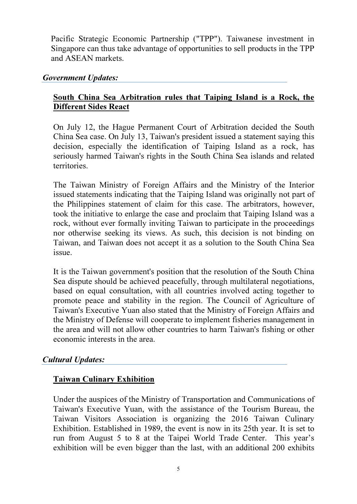Pacific Strategic Economic Partnership ("TPP"). Taiwanese investment in Singapore can thus take advantage of opportunities to sell products in the TPP and ASEAN markets.

#### Government Updates:

### South China Sea Arbitration rules that Taiping Island is a Rock, the Different Sides React

On July 12, the Hague Permanent Court of Arbitration decided the South China Sea case. On July 13, Taiwan's president issued a statement saying this decision, especially the identification of Taiping Island as a rock, has seriously harmed Taiwan's rights in the South China Sea islands and related territories.

The Taiwan Ministry of Foreign Affairs and the Ministry of the Interior issued statements indicating that the Taiping Island was originally not part of the Philippines statement of claim for this case. The arbitrators, however, took the initiative to enlarge the case and proclaim that Taiping Island was a rock, without ever formally inviting Taiwan to participate in the proceedings nor otherwise seeking its views. As such, this decision is not binding on Taiwan, and Taiwan does not accept it as a solution to the South China Sea issue.

It is the Taiwan government's position that the resolution of the South China Sea dispute should be achieved peacefully, through multilateral negotiations, based on equal consultation, with all countries involved acting together to promote peace and stability in the region. The Council of Agriculture of Taiwan's Executive Yuan also stated that the Ministry of Foreign Affairs and the Ministry of Defense will cooperate to implement fisheries management in the area and will not allow other countries to harm Taiwan's fishing or other economic interests in the area.

## Cultural Updates:

## Taiwan Culinary Exhibition

Under the auspices of the Ministry of Transportation and Communications of Taiwan's Executive Yuan, with the assistance of the Tourism Bureau, the Taiwan Visitors Association is organizing the 2016 Taiwan Culinary Exhibition. Established in 1989, the event is now in its 25th year. It is set to run from August 5 to 8 at the Taipei World Trade Center. This year's exhibition will be even bigger than the last, with an additional 200 exhibits